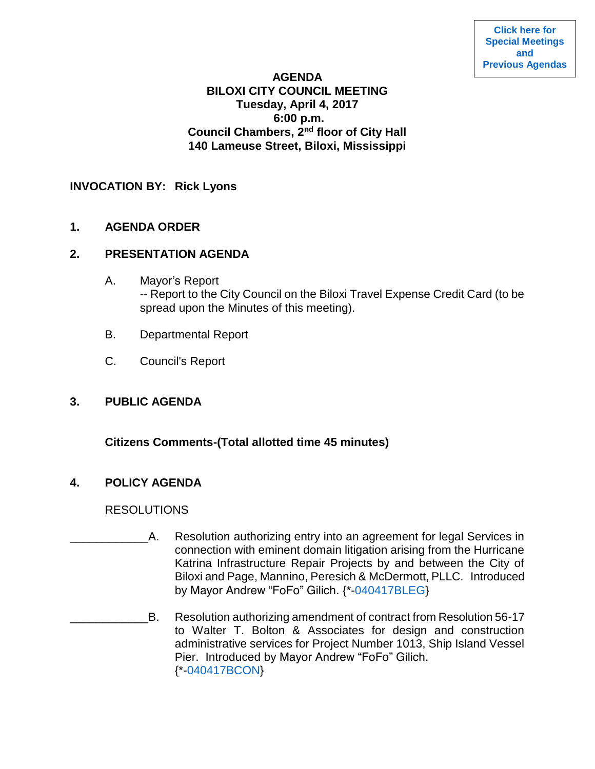#### **AGENDA BILOXI CITY COUNCIL MEETING Tuesday, April 4, 2017 6:00 p.m. Council Chambers, 2nd floor of City Hall 140 Lameuse Street, Biloxi, Mississippi**

## **INVOCATION BY: Rick Lyons**

**1. AGENDA ORDER**

#### **2. PRESENTATION AGENDA**

- A. Mayor's Report -- Report to the City Council on the Biloxi Travel Expense Credit Card (to be spread upon the Minutes of this meeting).
- B. Departmental Report
- C. Council's Report

# **3. PUBLIC AGENDA**

**Citizens Comments-(Total allotted time 45 minutes)**

# **4. POLICY AGENDA**

**RESOLUTIONS** 

- A. Resolution authorizing entry into an agreement for legal Services in connection with eminent domain litigation arising from the Hurricane Katrina Infrastructure Repair Projects by and between the City of Biloxi and Page, Mannino, Peresich & McDermott, PLLC. Introduced by Mayor Andrew "FoFo" Gilich. {\*[-040417BLEG}](https://www.biloxi.ms.us/agendas/citycouncil/2017/040417/040417bleg.pdf)
- B. Resolution authorizing amendment of contract from Resolution 56-17 to Walter T. Bolton & Associates for design and construction administrative services for Project Number 1013, Ship Island Vessel Pier. Introduced by Mayor Andrew "FoFo" Gilich. {\*[-040417BCON}](https://www.biloxi.ms.us/agendas/citycouncil/2017/040417/040417bcon.pdf)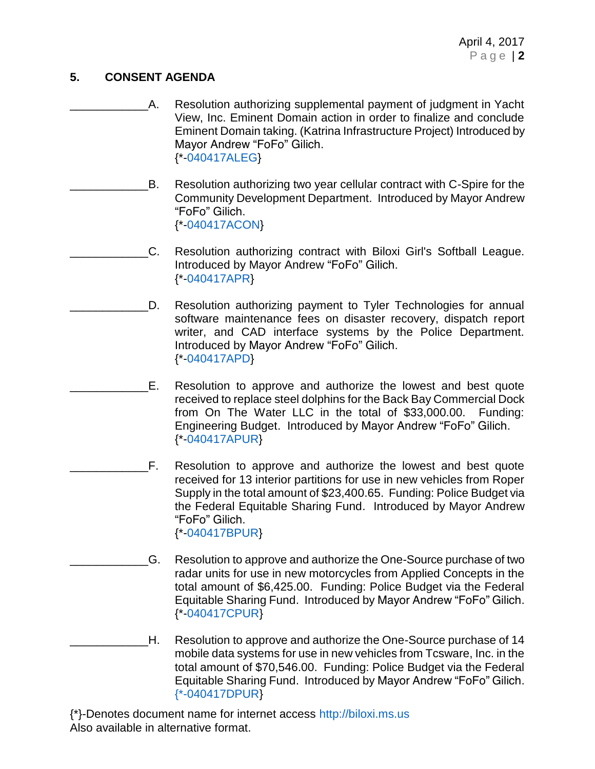## **5. CONSENT AGENDA**

- \_\_\_\_\_\_\_\_\_\_\_\_A. Resolution authorizing supplemental payment of judgment in Yacht View, Inc. Eminent Domain action in order to finalize and conclude Eminent Domain taking. (Katrina Infrastructure Project) Introduced by Mayor Andrew "FoFo" Gilich. {\*[-040417ALEG}](https://www.biloxi.ms.us/agendas/citycouncil/2017/040417/040417aleg.pdf)
- B. Resolution authorizing two year cellular contract with C-Spire for the Community Development Department. Introduced by Mayor Andrew "FoFo" Gilich. {\*[-040417ACON}](https://www.biloxi.ms.us/agendas/citycouncil/2017/040417/040417acon.pdf)
	- C. Resolution authorizing contract with Biloxi Girl's Softball League. Introduced by Mayor Andrew "FoFo" Gilich. {\*[-040417APR}](https://www.biloxi.ms.us/agendas/citycouncil/2017/040417/040417apr.pdf)
- D. Resolution authorizing payment to Tyler Technologies for annual software maintenance fees on disaster recovery, dispatch report writer, and CAD interface systems by the Police Department. Introduced by Mayor Andrew "FoFo" Gilich. {\*[-040417APD}](https://www.biloxi.ms.us/agendas/citycouncil/2017/040417/040417apd.pdf)
- E. Resolution to approve and authorize the lowest and best quote received to replace steel dolphins for the Back Bay Commercial Dock from On The Water LLC in the total of \$33,000.00. Funding: Engineering Budget. Introduced by Mayor Andrew "FoFo" Gilich. {\*[-040417APUR}](https://www.biloxi.ms.us/agendas/citycouncil/2017/040417/040417apur.pdf)
- \_\_\_\_\_\_\_\_\_\_\_\_F. Resolution to approve and authorize the lowest and best quote received for 13 interior partitions for use in new vehicles from Roper Supply in the total amount of \$23,400.65. Funding: Police Budget via the Federal Equitable Sharing Fund. Introduced by Mayor Andrew "FoFo" Gilich. {\*[-040417BPUR}](https://www.biloxi.ms.us/agendas/citycouncil/2017/040417/040417bpur.pdf)
	- G. Resolution to approve and authorize the One-Source purchase of two radar units for use in new motorcycles from Applied Concepts in the total amount of \$6,425.00. Funding: Police Budget via the Federal Equitable Sharing Fund. Introduced by Mayor Andrew "FoFo" Gilich. {\*[-040417CPUR}](https://www.biloxi.ms.us/agendas/citycouncil/2017/040417/040417cpur.pdf)
- \_\_\_\_\_\_\_\_\_\_\_\_H. Resolution to approve and authorize the One-Source purchase of 14 mobile data systems for use in new vehicles from Tcsware, Inc. in the total amount of \$70,546.00. Funding: Police Budget via the Federal Equitable Sharing Fund. Introduced by Mayor Andrew "FoFo" Gilich. [{\\*-040417DPUR}](https://www.biloxi.ms.us/agendas/citycouncil/2017/040417/040417dpur.pdf)

{\*}-Denotes document name for internet access [http://biloxi.ms.us](http://biloxi.ms.us/) Also available in alternative format.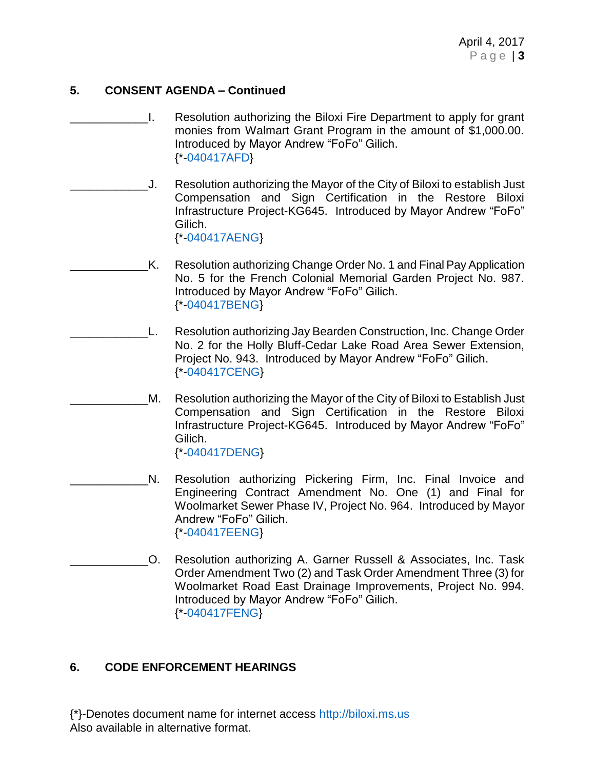## **5. CONSENT AGENDA – Continued**

- \_\_\_\_\_\_\_\_\_\_\_\_I. Resolution authorizing the Biloxi Fire Department to apply for grant monies from Walmart Grant Program in the amount of \$1,000.00. Introduced by Mayor Andrew "FoFo" Gilich. {\*[-040417AFD}](https://www.biloxi.ms.us/agendas/citycouncil/2017/040417/040417afd.pdf)
- \_\_\_\_\_\_\_\_\_\_\_\_J. Resolution authorizing the Mayor of the City of Biloxi to establish Just Compensation and Sign Certification in the Restore Biloxi Infrastructure Project-KG645. Introduced by Mayor Andrew "FoFo" Gilich. {\*[-040417AENG}](https://www.biloxi.ms.us/agendas/citycouncil/2017/040417/040417aeng.pdf)
	- K. Resolution authorizing Change Order No. 1 and Final Pay Application No. 5 for the French Colonial Memorial Garden Project No. 987. Introduced by Mayor Andrew "FoFo" Gilich. {\*[-040417BENG}](https://www.biloxi.ms.us/agendas/citycouncil/2017/040417/040417beng.pdf)
	- L. Resolution authorizing Jay Bearden Construction, Inc. Change Order No. 2 for the Holly Bluff-Cedar Lake Road Area Sewer Extension, Project No. 943. Introduced by Mayor Andrew "FoFo" Gilich. {\*[-040417CENG}](https://www.biloxi.ms.us/agendas/citycouncil/2017/040417/040417ceng.pdf)
- M. Resolution authorizing the Mayor of the City of Biloxi to Establish Just Compensation and Sign Certification in the Restore Biloxi Infrastructure Project-KG645. Introduced by Mayor Andrew "FoFo" Gilich. {\*[-040417DENG}](https://www.biloxi.ms.us/agendas/citycouncil/2017/040417/040417deng.pdf)
- N. Resolution authorizing Pickering Firm, Inc. Final Invoice and Engineering Contract Amendment No. One (1) and Final for Woolmarket Sewer Phase IV, Project No. 964. Introduced by Mayor Andrew "FoFo" Gilich. {\*[-040417EENG}](https://www.biloxi.ms.us/agendas/citycouncil/2017/040417/040417eeng.pdf)
- \_\_\_\_\_\_\_\_\_\_\_\_O. Resolution authorizing A. Garner Russell & Associates, Inc. Task Order Amendment Two (2) and Task Order Amendment Three (3) for Woolmarket Road East Drainage Improvements, Project No. 994. Introduced by Mayor Andrew "FoFo" Gilich. {\*[-040417FENG}](https://www.biloxi.ms.us/agendas/citycouncil/2017/040417/040417feng.pdf)

# **6. CODE ENFORCEMENT HEARINGS**

{\*}-Denotes document name for internet access [http://biloxi.ms.us](http://biloxi.ms.us/) Also available in alternative format.